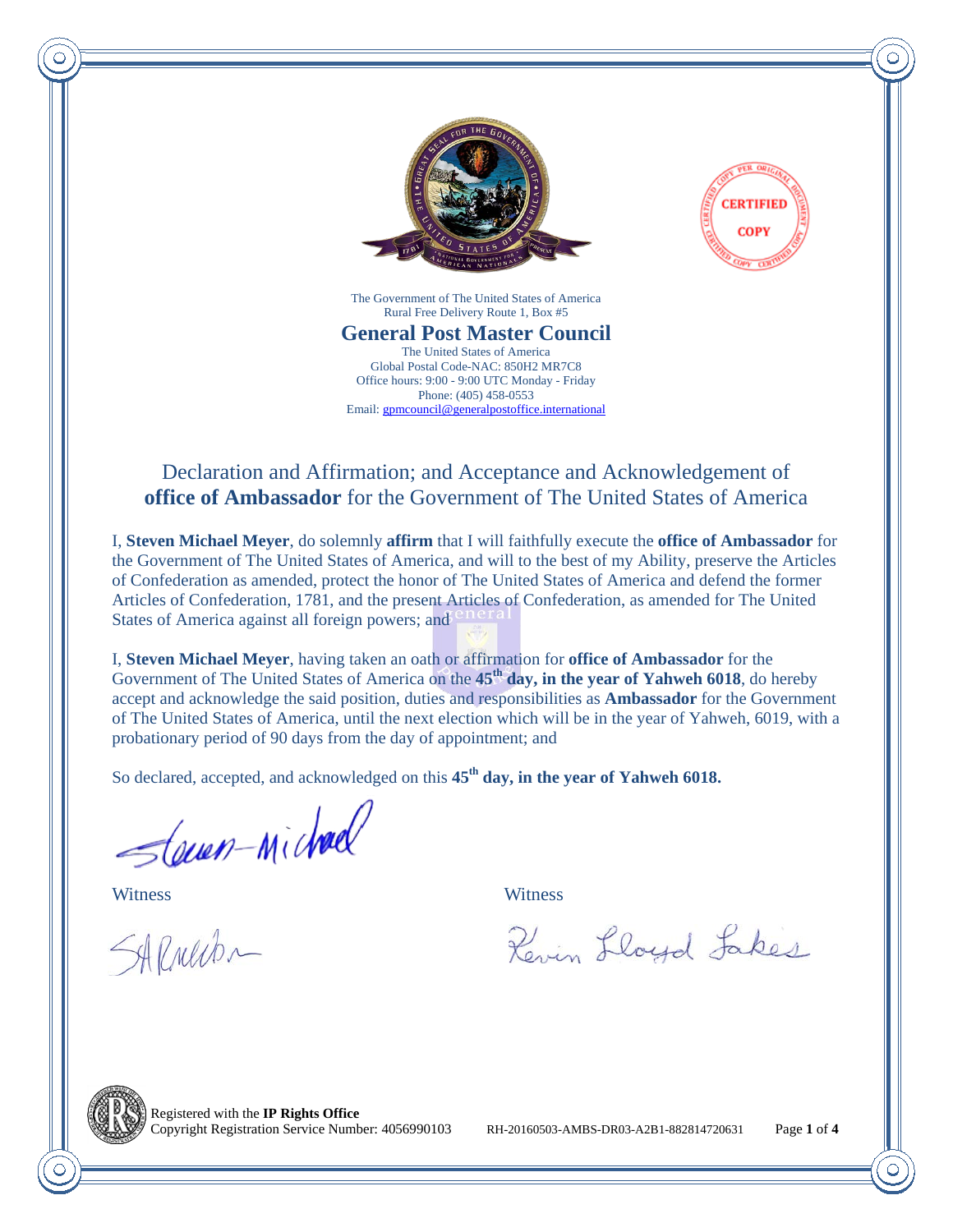



The Government of The United States of America Rural Free Delivery Route 1, Box #5

**General Post Master Council** The United States of America Global Postal Code-NAC: 850H2 MR7C8 Office hours: 9:00 - 9:00 UTC Monday - Friday Phone: (405) 458-0553 Email: gpmcouncil@generalpostoffice.international

## Declaration and Affirmation; and Acceptance and Acknowledgement of **office of Ambassador** for the Government of The United States of America

I, **Steven Michael Meyer**, do solemnly **affirm** that I will faithfully execute the **office of Ambassador** for the Government of The United States of America, and will to the best of my Ability, preserve the Articles of Confederation as amended, protect the honor of The United States of America and defend the former Articles of Confederation, 1781, and the present Articles of Confederation, as amended for The United States of America against all foreign powers; and

I, **Steven Michael Meyer**, having taken an oath or affirmation for **office of Ambassador** for the Government of The United States of America on the **45th day, in the year of Yahweh 6018**, do hereby accept and acknowledge the said position, duties and responsibilities as **Ambassador** for the Government of The United States of America, until the next election which will be in the year of Yahweh, 6019, with a probationary period of 90 days from the day of appointment; and

So declared, accepted, and acknowledged on this  $45<sup>th</sup>$  day, in the year of Yahweh 6018.

Slewen-Michael Witness Witness

SARNewbr

Revin Lloyd Lakes



Registered with the **IP Rights Office**

Copyright Registration Service Number: 4056990103 RH-20160503-AMBS-DR03-A2B1-882814720631 Page **1** of **4**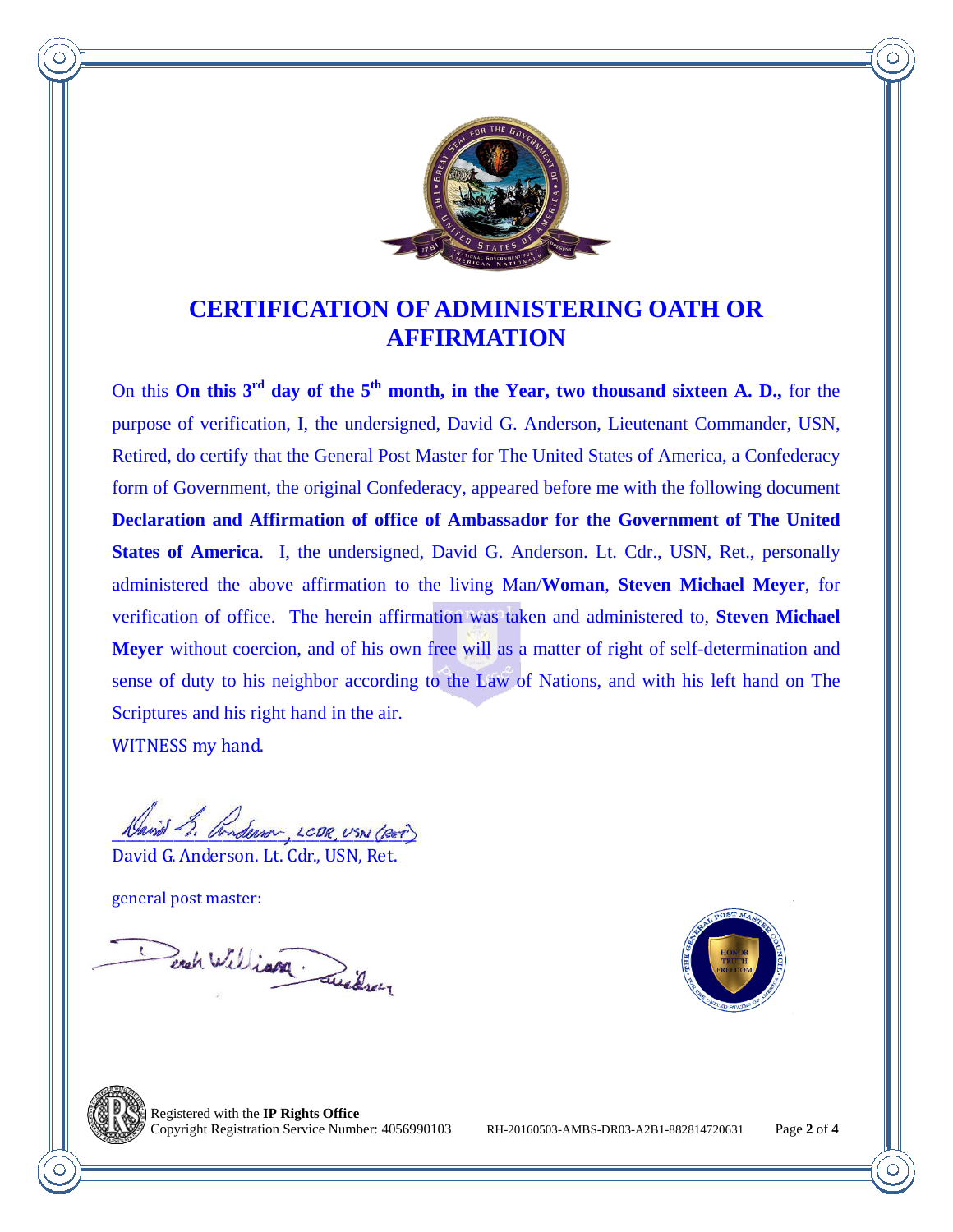

## **CERTIFICATION OF ADMINISTERING OATH OR AFFIRMATION**

On this **On this 3rd day of the 5th month, in the Year, two thousand sixteen A. D.,** for the purpose of verification, I, the undersigned, David G. Anderson, Lieutenant Commander, USN, Retired, do certify that the General Post Master for The United States of America, a Confederacy form of Government, the original Confederacy, appeared before me with the following document **Declaration and Affirmation of office of Ambassador for the Government of The United States of America**. I, the undersigned, David G. Anderson. Lt. Cdr., USN, Ret., personally administered the above affirmation to the living Man/**Woman**, **Steven Michael Meyer**, for verification of office. The herein affirmation was taken and administered to, **Steven Michael Meyer** without coercion, and of his own free will as a matter of right of self-determination and sense of duty to his neighbor according to the Law of Nations, and with his left hand on The Scriptures and his right hand in the air.

WITNESS my hand.

Lenon LCDR USN (RET

David G. Anderson. Lt. Cdr., USN, Ret.

general post master:

Each William Quidren





Registered with the **IP Rights Office**

Copyright Registration Service Number: 4056990103 RH-20160503-AMBS-DR03-A2B1-882814720631 Page **2** of **4**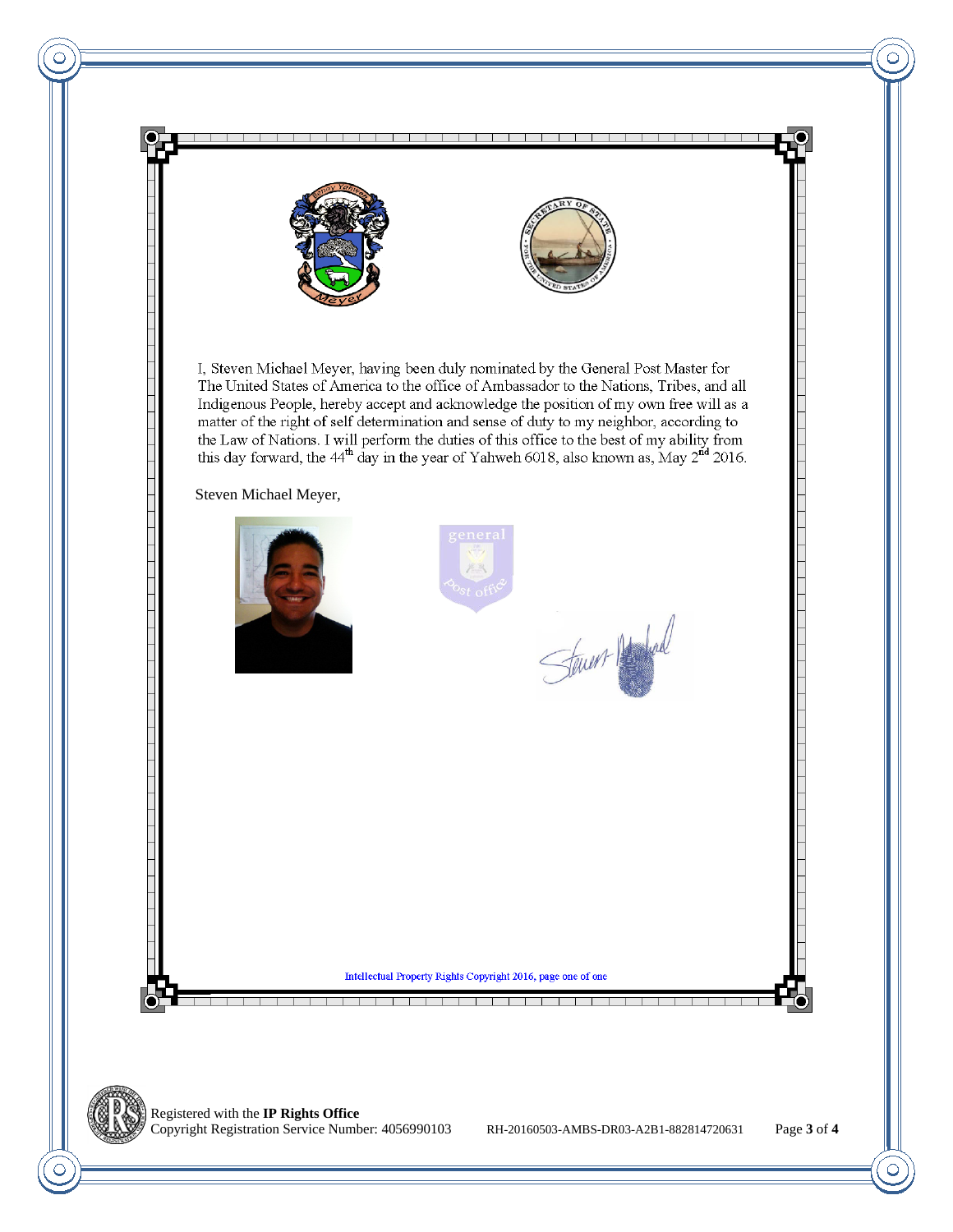